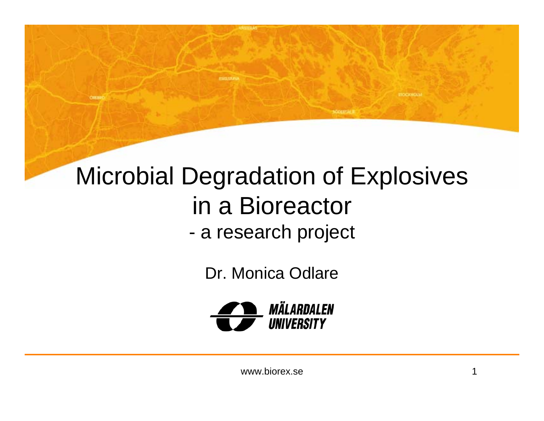#### Microbial Degradation of Explosives in a Bioreactor a research project

**COURSES** 

**CHEFF** 

Dr. Monica Odlare



поскной

**SODERTAL**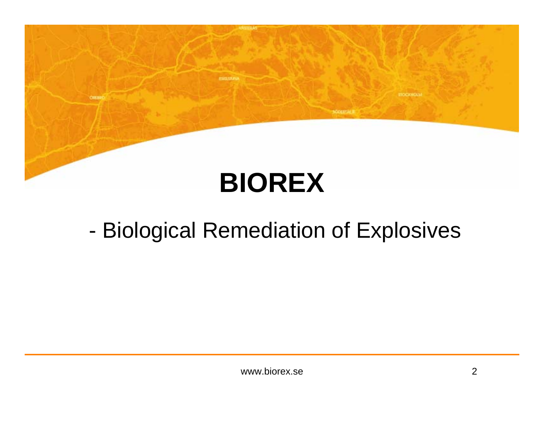# **BIOREX**

*REPORTED* 

OILER

#### -Biological Remediation of Explosives

**ITOCHNOLM** 

**SODERTAL**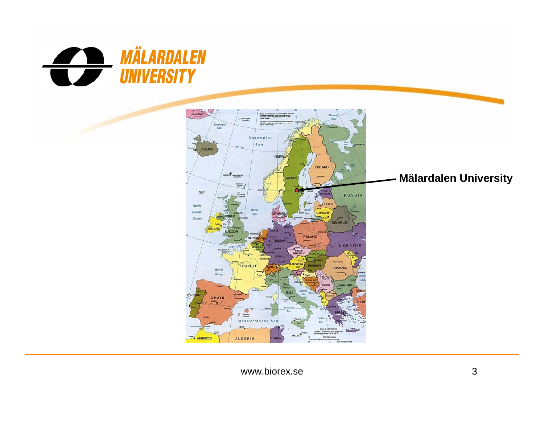



**Mälardalen University**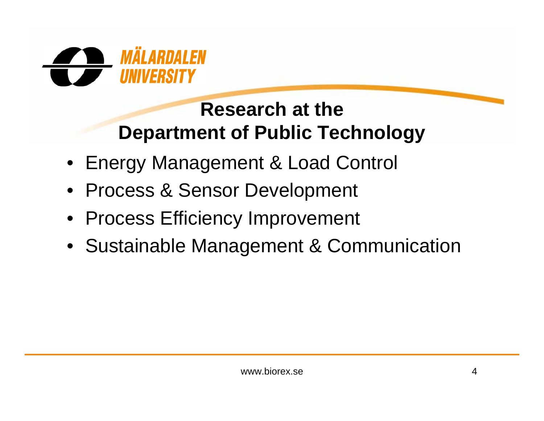

#### **Research at the Department of Public Technology**

- Energy Management & Load Control
- Process & Sensor Development
- Process Efficiency Improvement
- Sustainable Management & Communication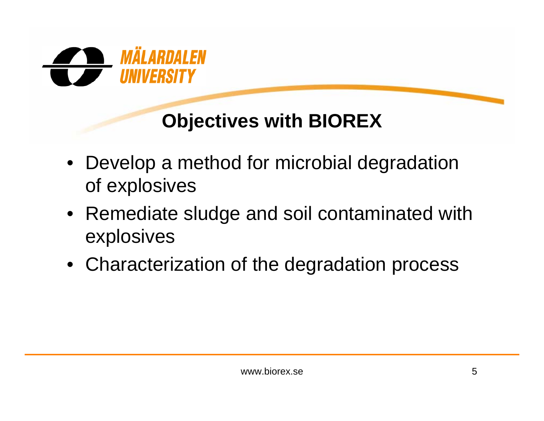

#### **Objectives with BIOREX**

- Develop a method for microbial degradation of explosives
- Remediate sludge and soil contaminated with explosives
- Characterization of the degradation process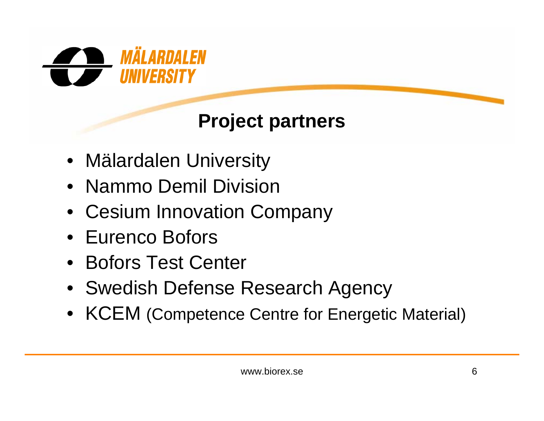

#### **Project partners**

- Mälardalen University
- Nammo Demil Division
- Cesium Innovation Company
- Eurenco Bofors
- Bofors Test Center
- Swedish Defense Research Agency
- KCEM (Competence Centre for Energetic Material)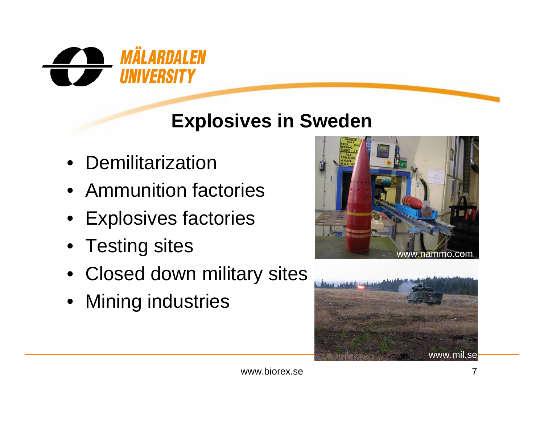

#### **Explosives in Sweden**

- Demilitarization
- Ammunition factories
- Explosives factories
- Testing sites
- Closed down military sites
- Mining industries



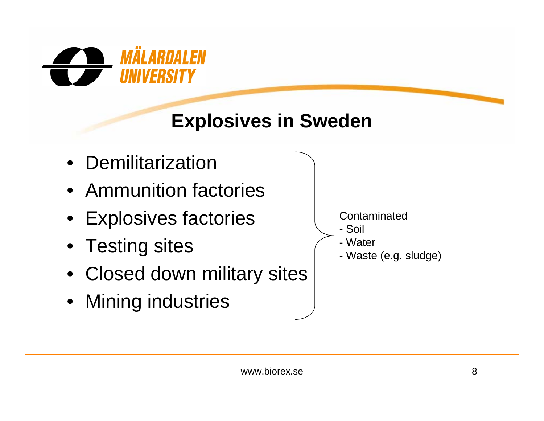

## **Explosives in Sweden**

- Demilitarization
- Ammunition factories
- Explosives factories
- Testing sites
- Closed down military sites
- Mining industries

**Contaminated** 

- Soil
- Water
- Waste (e.g. sludge)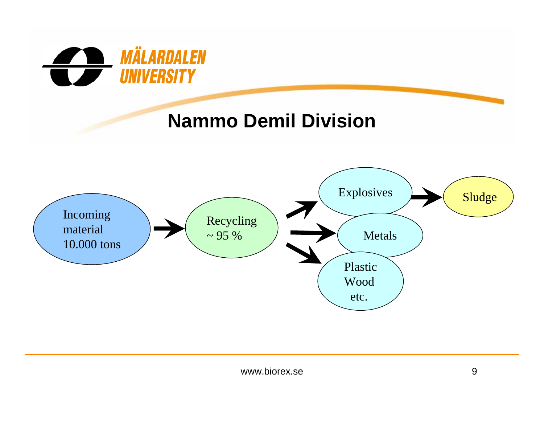

#### **Nammo Demil Division**

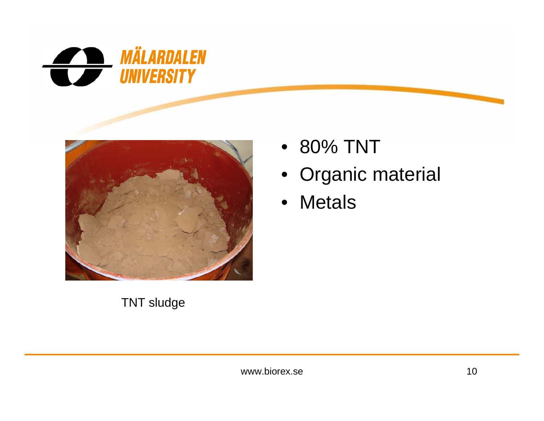



#### TNT sludge

- 80% TNT
- Organic material
- Metals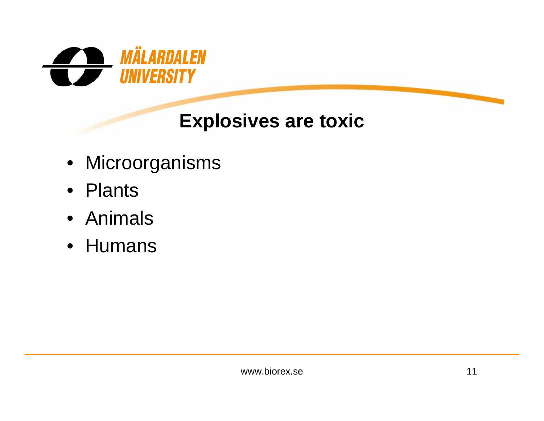

#### **Explosives are toxic**

- Microorganisms
- Plants
- Animals
- Humans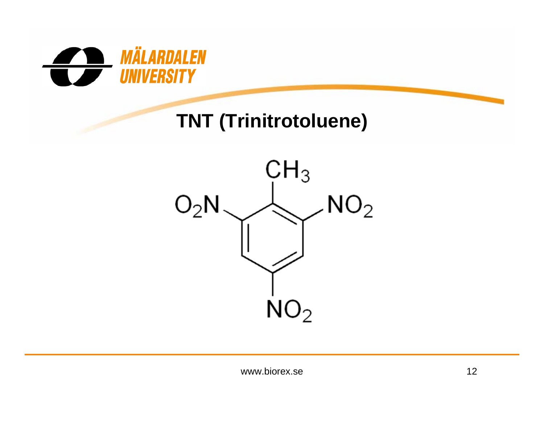

#### **TNT (Trinitrotoluene)**

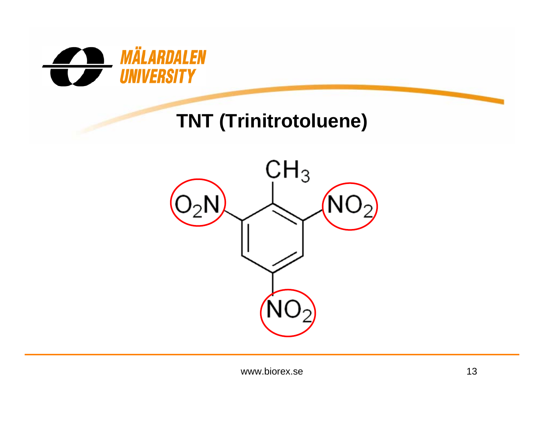

#### **TNT (Trinitrotoluene)**

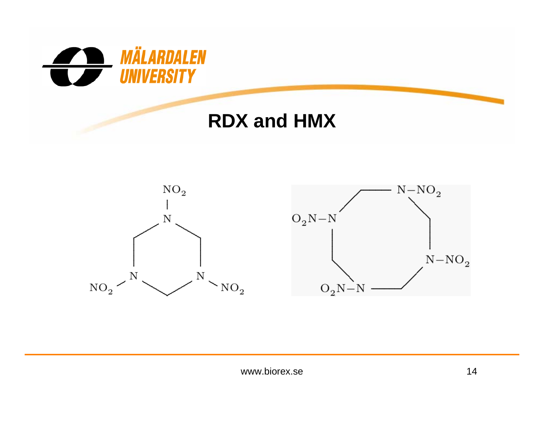

#### **RDX and HMX**



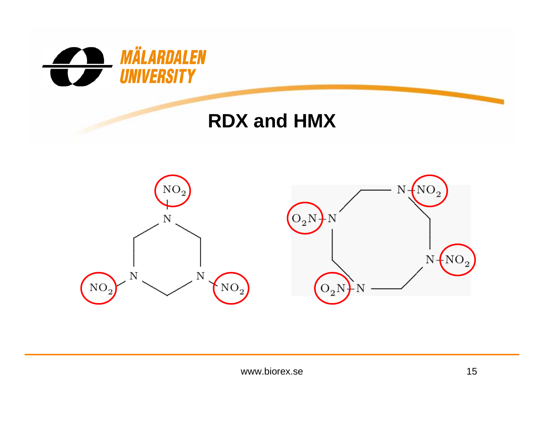

#### **RDX and HMX**

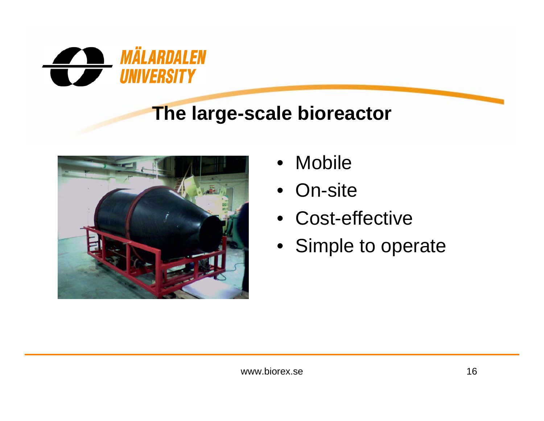

#### **The large-scale bioreactor**



- •Mobile
- On-site
- Cost-effective
- Simple to operate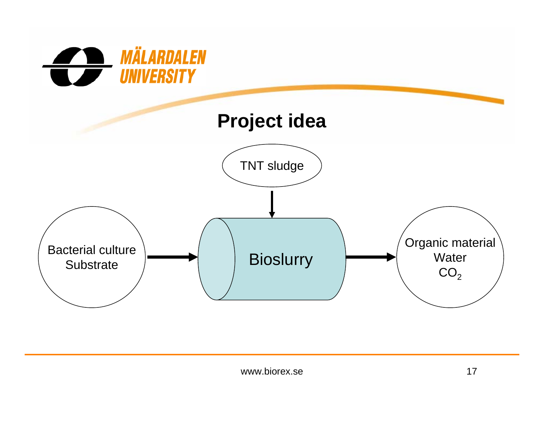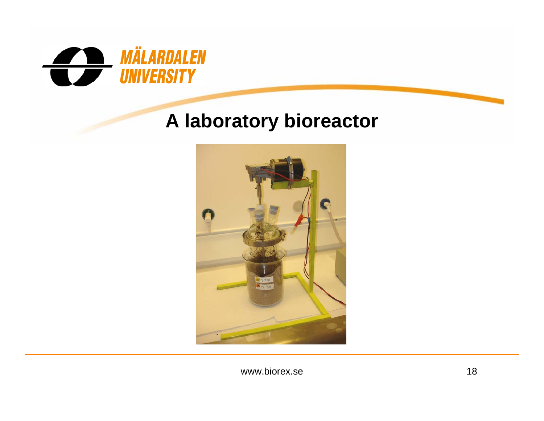

#### **A laboratory bioreactor**



www.biorex.se 18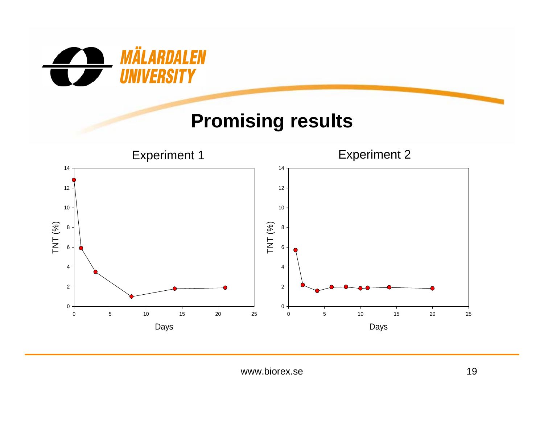

#### **Promising results**

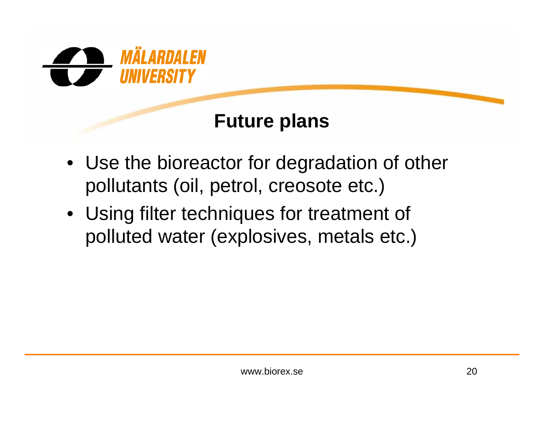

#### **Future plans**

- Use the bioreactor for degradation of other pollutants (oil, petrol, creosote etc.)
- Using filter techniques for treatment of polluted water (explosives, metals etc.)